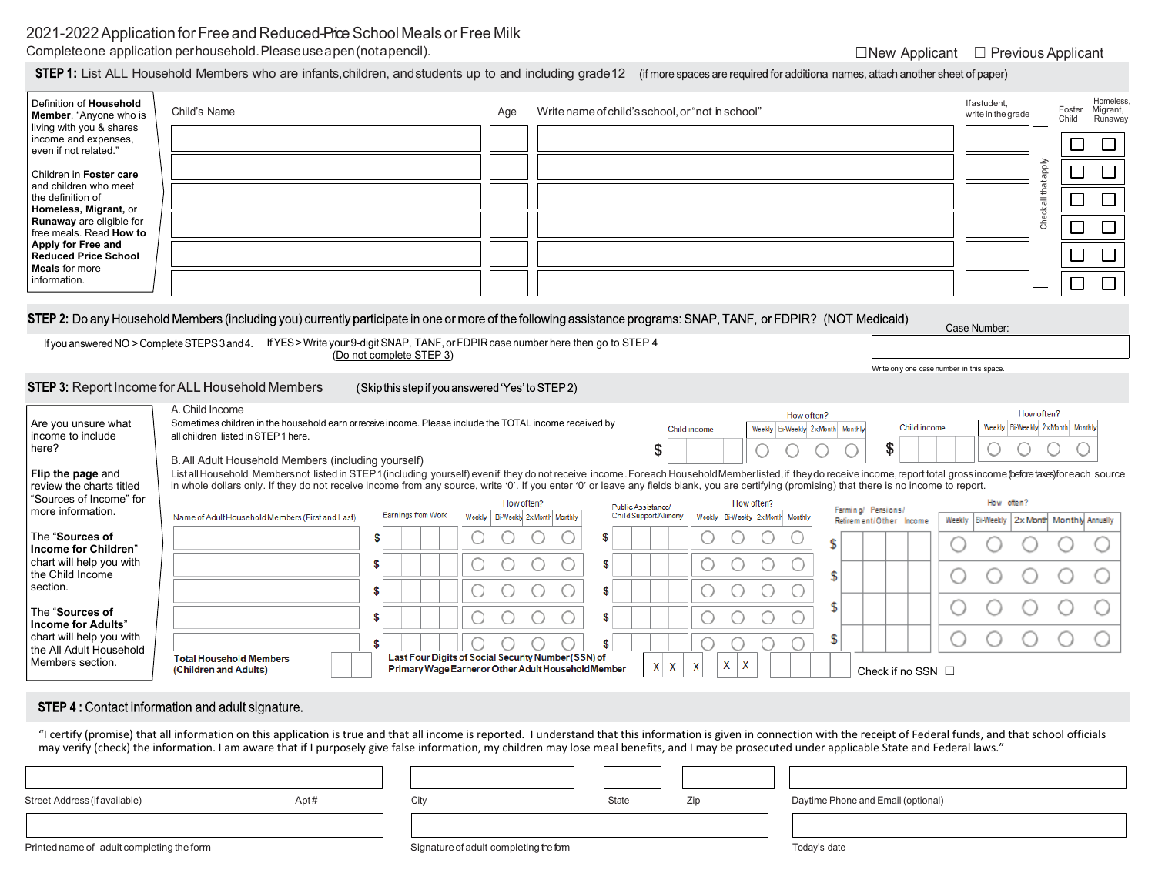# 2021-2022 Application for Free and Reduced-Price School Meals or Free Milk

Completeone application perhousehold.Pleaseuseapen(notapencil). ◯New Applicant ◯ Previous Applicant

**STEP 1:** List ALL Household Members who are infants, children, and students up to and including grade 12 (if more spaces are required for additional names, attach another sheet of paper)

| STEP 2: Do any Household Members (including you) currently participate in one or more of the following assistance programs: SNAP, TANF, or FDPIR? (NOT Medicaid)<br>Case Number:<br>If you answered NO > Complete STEPS 3 and 4. If YES > Write your 9-digit SNAP, TANF, or FDPIR case number here then go to STEP 4<br>(Do not complete STEP 3)<br>Write only one case number in this space.<br>STEP 3: Report Income for ALL Household Members                                                                                                                                                                                                                                                                                                                                                                                                                                                                                                                                                                                                                                                                                                                                                                                                                                                                                                                                                                                                                                                   |
|----------------------------------------------------------------------------------------------------------------------------------------------------------------------------------------------------------------------------------------------------------------------------------------------------------------------------------------------------------------------------------------------------------------------------------------------------------------------------------------------------------------------------------------------------------------------------------------------------------------------------------------------------------------------------------------------------------------------------------------------------------------------------------------------------------------------------------------------------------------------------------------------------------------------------------------------------------------------------------------------------------------------------------------------------------------------------------------------------------------------------------------------------------------------------------------------------------------------------------------------------------------------------------------------------------------------------------------------------------------------------------------------------------------------------------------------------------------------------------------------------|
| (Skip this step if you answered 'Yes' to STEP 2)                                                                                                                                                                                                                                                                                                                                                                                                                                                                                                                                                                                                                                                                                                                                                                                                                                                                                                                                                                                                                                                                                                                                                                                                                                                                                                                                                                                                                                                   |
| A. Child Income<br>How often?<br>How often?<br>Sometimes children in the household earn or receive income. Please include the TOTAL income received by<br>Are you unsure what<br>Weekly Bi-Weekly 2xMonth Monthly<br>Child income<br>Weekly Bi-Weekly 2xMonth Monthly<br>Child income<br>income to include<br>all children listed in STEP 1 here.<br>\$<br>\$<br>here?<br>B. All Adult Household Members (including yourself)<br>List all Household Membersnot listed in STEP1 (including yourself) even if they do not receive income. Foreach Household Memberlisted, if they do receive income, report total grossincome (before taxes) for each source<br>Flip the page and<br>in whole dollars only. If they do not receive income from any source, write '0'. If you enter '0' or leave any fields blank, you are certifying (promising) that there is no income to report.<br>review the charts titled<br>"Sources of Income" for<br>How often?<br>How often?<br>How often?<br>Public Assistance/<br>Farming/ Pensions/<br>more information.<br>Earnings from Work<br>Child Support/Alimony<br>Weekly<br>Bi-Weekly 2x Month Monthly<br>Weekly Bi-Weekly 2x Month Monthly<br>Name of Adult Household Members (First and Last)<br>Bi-Weekly   2x Month Monthly Annually<br>Weekly<br>Retirement/Other Income<br>The "Sources of<br>S<br>S<br>\$<br>Income for Children"<br>chart will help you with<br>S<br>S<br>the Child Income<br>\$<br>section.<br>О<br>O<br>О<br>О<br>0<br>О<br>\$<br>\$ |
| \$<br>The "Sources of<br>С<br>O<br>\$<br>O<br>S.<br>Income for Adults'<br>chart will help you with<br>\$<br>\$<br>S.<br>the All Adult Household<br>Last Four Digits of Social Security Number (SSN) of<br><b>Total Household Members</b><br>Members section.<br>X<br>X<br>$X$ $X$<br>X<br>Primary Wage Earner or Other Adult Household Member<br>(Children and Adults)<br>Check if no SSN $\Box$                                                                                                                                                                                                                                                                                                                                                                                                                                                                                                                                                                                                                                                                                                                                                                                                                                                                                                                                                                                                                                                                                                   |
| <b>STEP 4: Contact information and adult signature.</b><br>"I certify (promise) that all information on this application is true and that all income is reported. I understand that this information is given in connection with the receipt of Federal funds, and that school officials<br>may verify (check) the information. I am aware that if I purposely give false information, my children may lose meal benefits, and I may be prosecuted under applicable State and Federal laws."<br>City<br>Street Address (if available)<br>Apt#<br>State<br>Zip<br>Daytime Phone and Email (optional)                                                                                                                                                                                                                                                                                                                                                                                                                                                                                                                                                                                                                                                                                                                                                                                                                                                                                                |